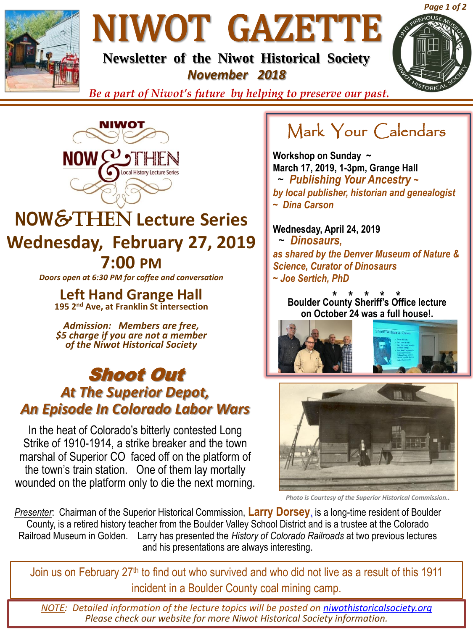

# NIWOT GAZETTE

**Newsletter of the Niwot Historical Society** *November 2018*



*Be a part of Niwot's future by helping to preserve our past.*



## **NOW**&Then **Lecture Series Wednesday, February 27, 2019 7:00 PM**

*Doors open at 6:30 PM for coffee and conversation*

**Left Hand Grange Hall 195 2nd Ave, at Franklin St intersection**

*Admission: Members are free, \$5 charge if you are not a member of the Niwot Historical Society*

#### Shoot Out *At The Superior Depot, An Episode In Colorado Labor Wars*

In the heat of Colorado's bitterly contested Long Strike of 1910-1914, a strike breaker and the town marshal of Superior CO faced off on the platform of the town's train station. One of them lay mortally wounded on the platform only to die the next morning.

## Mark Your Calendars

**Workshop on Sunday ~ March 17, 2019, 1-3pm, Grange Hall** ~ *Publishing Your Ancestry ~ by local publisher, historian and genealogist ~ Dina Carson*

**Wednesday, April 24, 2019** ~ *Dinosaurs, as shared by the Denver Museum of Nature & Science, Curator of Dinosaurs ~ Joe Sertich, PhD*

\* \* \* \* \* **Boulder County Sheriff's Office lecture on October 24 was a full house!.**





*Photo is Courtesy of the Superior Historical Commission..*

*Presenter*: Chairman of the Superior Historical Commission, **Larry Dorsey**, is a long-time resident of Boulder County, is a retired history teacher from the Boulder Valley School District and is a trustee at the Colorado Railroad Museum in Golden. Larry has presented the *History of Colorado Railroads* at two previous lectures and his presentations are always interesting.

Join us on February 27<sup>th</sup> to find out who survived and who did not live as a result of this 1911 incident in a Boulder County coal mining camp.

*NOTE: Detailed information of the lecture topics will be posted on [niwothistoricalsociety.org](http://www.niwothistoricalsociety.org/) Please check our website for more Niwot Historical Society information.*